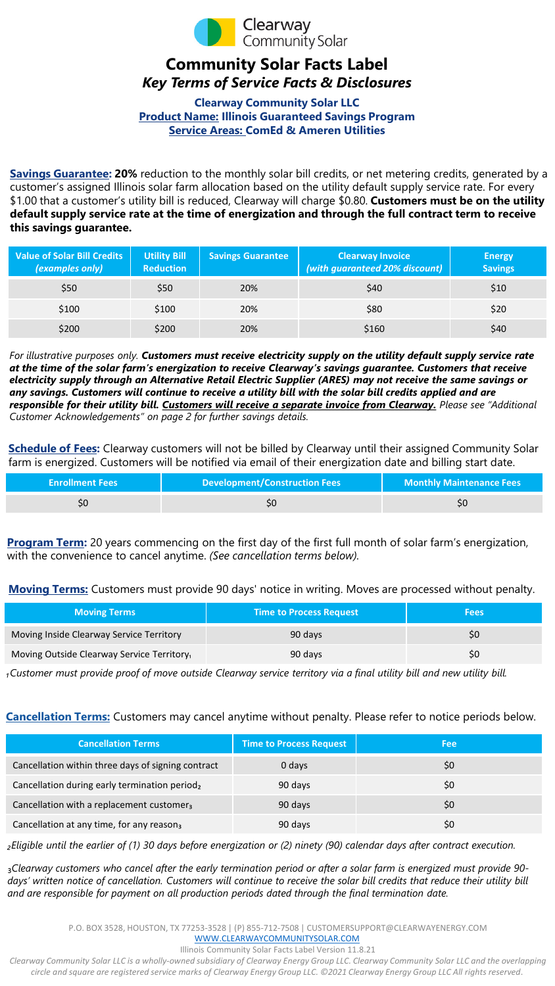

## **Community Solar Facts Label** *Key Terms of Service Facts & Disclosures*

**Clearway Community Solar LLC Product Name: Illinois Guaranteed Savings Program Service Areas: ComEd & Ameren Utilities**

**Savings Guarantee: 20%** reduction to the monthly solar bill credits, or net metering credits, generated by a customer's assigned Illinois solar farm allocation based on the utility default supply service rate. For every \$1.00 that a customer's utility bill is reduced, Clearway will charge \$0.80. **Customers must be on the utility default supply service rate at the time of energization and through the full contract term to receive this savings guarantee.** 

| <b>Value of Solar Bill Credits</b><br>(examples only) | <b>Utility Bill</b><br><b>Reduction</b> | <b>Savings Guarantee</b> | <b>Clearway Invoice</b><br>(with guaranteed 20% discount) | <b>Energy</b><br><b>Savings</b> |
|-------------------------------------------------------|-----------------------------------------|--------------------------|-----------------------------------------------------------|---------------------------------|
| \$50                                                  | \$50                                    | 20%                      | \$40                                                      | \$10                            |
| \$100                                                 | \$100                                   | 20%                      | \$80                                                      | \$20                            |
| \$200                                                 | \$200                                   | 20%                      | \$160                                                     | \$40                            |

*For illustrative purposes only. Customers must receive electricity supply on the utility default supply service rate at the time of the solar farm's energization to receive Clearway's savings guarantee. Customers that receive electricity supply through an Alternative Retail Electric Supplier (ARES) may not receive the same savings or any savings. Customers will continue to receive a utility bill with the solar bill credits applied and are responsible for their utility bill. Customers will receive a separate invoice from Clearway. Please see "Additional Customer Acknowledgements" on page 2 for further savings details.* 

**Schedule of Fees:** Clearway customers will not be billed by Clearway until their assigned Community Solar farm is energized. Customers will be notified via email of their energization date and billing start date.

| <b>Enrollment Fees</b> | <b>Development/Construction Fees</b> | <b>Monthly Maintenance Fees</b> |
|------------------------|--------------------------------------|---------------------------------|
| \$O                    | οU                                   | SÜ                              |

**Program Term:** 20 years commencing on the first day of the first full month of solar farm's energization, with the convenience to cancel anytime. *(See cancellation terms below).*

**Moving Terms:** Customers must provide 90 days' notice in writing. Moves are processed without penalty.

| <b>Moving Terms</b>                        | <b>Time to Process Request</b> | <b>Fees</b> |
|--------------------------------------------|--------------------------------|-------------|
| Moving Inside Clearway Service Territory   | 90 days                        |             |
| Moving Outside Clearway Service Territory, | 90 days                        |             |

*₁Customer must provide proof of move outside Clearway service territory via a final utility bill and new utility bill.* 

## **Cancellation Terms:** Customers may cancel anytime without penalty. Please refer to notice periods below.

| <b>Cancellation Terms</b>                                 | <b>Time to Process Request</b> | <b>Fee</b> |
|-----------------------------------------------------------|--------------------------------|------------|
| Cancellation within three days of signing contract        | 0 days                         | \$0        |
| Cancellation during early termination period <sub>2</sub> | 90 days                        | \$0        |
| Cancellation with a replacement customer <sub>3</sub>     | 90 days                        | \$0        |
| Cancellation at any time, for any reason <sub>3</sub>     | 90 days                        | \$0        |

*₂Eligible until the earlier of (1) 30 days before energization or (2) ninety (90) calendar days after contract execution.* 

₃*Clearway customers who cancel after the early termination period or after a solar farm is energized must provide 90* days' written notice of cancellation. Customers will continue to receive the solar bill credits that reduce their utility bill *and are responsible for payment on all production periods dated through the final termination date.* 

P.O. BOX 3528, HOUSTON, TX 77253-3528 | (P) 855-712-7508 | CUSTOMERSUPPORT@CLEARWAYENERGY.COM

[WWW.CLEARWAYCOMMUNITYSOLAR.COM](http://WWW.CLEARWAYCOMMUNITYSOLAR.COM%E2%80%8B) Illinois Community Solar Facts Label Version 11.8.21

*Clearway Community Solar LLC is a wholly-owned subsidiary of Clearway Energy Group LLC. Clearway Community Solar LLC and the overlapping circle and square are registered service marks of Clearway Energy Group LLC. ©2021 Clearway Energy Group LLC All rights reserved*.